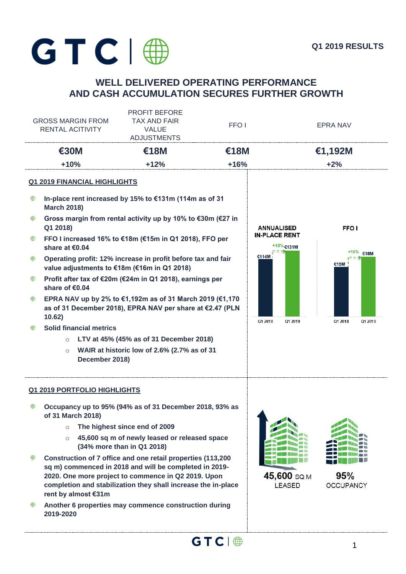

# **WELL DELIVERED OPERATING PERFORMANCE AND CASH ACCUMULATION SECURES FURTHER GROWTH**

| <b>GROSS MARGIN FROM</b><br>RENTAL ACITIVITY |                                                                                                                                                                                                                                                                      | <b>PROFIT BEFORE</b><br><b>TAX AND FAIR</b><br><b>VALUE</b><br><b>ADJUSTMENTS</b>                                     | FFO <sub>1</sub>  |                                      | <b>EPRA NAV</b>         |  |
|----------------------------------------------|----------------------------------------------------------------------------------------------------------------------------------------------------------------------------------------------------------------------------------------------------------------------|-----------------------------------------------------------------------------------------------------------------------|-------------------|--------------------------------------|-------------------------|--|
|                                              | €30M                                                                                                                                                                                                                                                                 | <b>€18M</b>                                                                                                           | €18M              |                                      | €1,192M                 |  |
|                                              | $+10%$                                                                                                                                                                                                                                                               | $+12%$                                                                                                                | $+16%$            |                                      | $+2%$                   |  |
|                                              | <b>Q1 2019 FINANCIAL HIGHLIGHTS</b>                                                                                                                                                                                                                                  |                                                                                                                       |                   |                                      |                         |  |
| ⊕                                            | <b>March 2018)</b>                                                                                                                                                                                                                                                   | In-place rent increased by 15% to €131m (114m as of 31                                                                |                   |                                      |                         |  |
| ⊕                                            | Q1 2018)                                                                                                                                                                                                                                                             | Gross margin from rental activity up by 10% to €30m (€27 in                                                           | <b>ANNUALISED</b> | <b>FFOI</b>                          |                         |  |
| ⊕                                            | FFO I increased 16% to €18m (€15m in Q1 2018), FFO per<br>share at €0.04<br>Operating profit: 12% increase in profit before tax and fair<br>value adjustments to €18m (€16m in Q1 2018)                                                                              |                                                                                                                       |                   | IN-PLACE RENT<br>+15% €131M<br>€114M | +16% €18M<br>€15M       |  |
| ₩                                            |                                                                                                                                                                                                                                                                      |                                                                                                                       |                   |                                      |                         |  |
| ⊕                                            | share of €0.04                                                                                                                                                                                                                                                       | Profit after tax of €20m (€24m in Q1 2018), earnings per                                                              |                   |                                      |                         |  |
| ₩                                            |                                                                                                                                                                                                                                                                      | EPRA NAV up by 2% to €1,192m as of 31 March 2019 (€1,170<br>as of 31 December 2018), EPRA NAV per share at €2.47 (PLN |                   |                                      |                         |  |
| ₩                                            | 10.62)<br><b>Solid financial metrics</b>                                                                                                                                                                                                                             |                                                                                                                       |                   | Q1 2018<br>Q1 2019                   | Q1 2018<br>Q1 2019      |  |
|                                              | $\circ$                                                                                                                                                                                                                                                              | LTV at 45% (45% as of 31 December 2018)                                                                               |                   |                                      |                         |  |
|                                              | $\circ$<br>December 2018)                                                                                                                                                                                                                                            | WAIR at historic low of 2.6% (2.7% as of 31                                                                           |                   |                                      |                         |  |
|                                              | <b>Q1 2019 PORTFOLIO HIGHLIGHTS</b>                                                                                                                                                                                                                                  |                                                                                                                       |                   |                                      |                         |  |
| ₩                                            | of 31 March 2018)                                                                                                                                                                                                                                                    | Occupancy up to 95% (94% as of 31 December 2018, 93% as                                                               |                   |                                      |                         |  |
|                                              | $\circ$                                                                                                                                                                                                                                                              | The highest since end of 2009                                                                                         |                   |                                      |                         |  |
|                                              | $\circ$                                                                                                                                                                                                                                                              | 45,600 sq m of newly leased or released space<br>(34% more than in Q1 2018)                                           |                   |                                      |                         |  |
| ⊕                                            | Construction of 7 office and one retail properties (113,200<br>sq m) commenced in 2018 and will be completed in 2019-<br>2020. One more project to commence in Q2 2019. Upon<br>completion and stabilization they shall increase the in-place<br>rent by almost €31m |                                                                                                                       |                   | 45,600 SQ M<br>LEASED                | 95%<br><b>OCCUPANCY</b> |  |
|                                              |                                                                                                                                                                                                                                                                      | Another 6 properties may commence construction during                                                                 |                   |                                      |                         |  |

**Another 6 properties may commence construction during 2019-2020**

 $GTC \mid \bigoplus$  1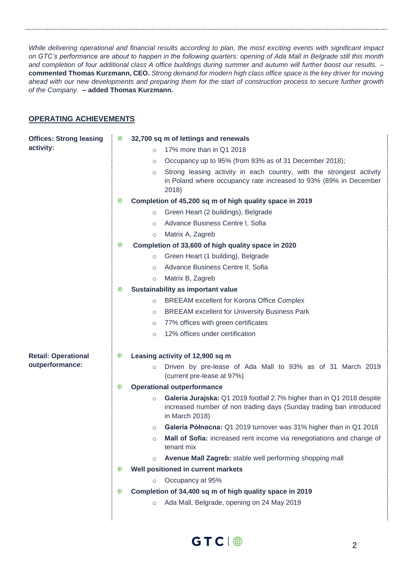*While delivering operational and financial results according to plan, the most exciting events with significant impact on GTC's performance are about to happen in the following quarters: opening of Ada Mall in Belgrade still this month and completion of four additional class A office buildings during summer and autumn will further boost our results. –* **commented Thomas Kurzmann, CEO.** *Strong demand for modern high class office space is the key driver for moving ahead with our new developments and preparing them for the start of construction process to secure further growth of the Company.* **– added Thomas Kurzmann.**

## **OPERATING ACHIEVEMENTS**

| <b>Offices: Strong leasing</b> | ⊕ | 32,700 sq m of lettings and renewals                                                                                                                                       |
|--------------------------------|---|----------------------------------------------------------------------------------------------------------------------------------------------------------------------------|
| activity:                      |   | 17% more than in Q1 2018<br>$\circ$                                                                                                                                        |
|                                |   | Occupancy up to 95% (from 93% as of 31 December 2018);<br>$\circ$                                                                                                          |
|                                |   | Strong leasing activity in each country, with the strongest activity<br>$\circ$<br>in Poland where occupancy rate increased to 93% (89% in December<br>2018)               |
|                                | ₩ | Completion of 45,200 sq m of high quality space in 2019                                                                                                                    |
|                                |   | Green Heart (2 buildings), Belgrade<br>$\circ$                                                                                                                             |
|                                |   | Advance Business Centre I, Sofia<br>$\circ$                                                                                                                                |
|                                |   | Matrix A, Zagreb<br>$\circ$                                                                                                                                                |
|                                | ⊕ | Completion of 33,600 of high quality space in 2020                                                                                                                         |
|                                |   | Green Heart (1 building), Belgrade<br>$\circ$                                                                                                                              |
|                                |   | Advance Business Centre II, Sofia<br>$\circ$                                                                                                                               |
|                                |   | Matrix B, Zagreb<br>$\circ$                                                                                                                                                |
|                                | ₩ | Sustainability as important value                                                                                                                                          |
|                                |   | <b>BREEAM excellent for Korona Office Complex</b><br>$\circ$                                                                                                               |
|                                |   | <b>BREEAM excellent for University Business Park</b><br>$\circ$                                                                                                            |
|                                |   | 77% offices with green certificates<br>$\circ$                                                                                                                             |
|                                |   | 12% offices under certification<br>$\circ$                                                                                                                                 |
| <b>Retail: Operational</b>     | ⊕ | Leasing activity of 12,900 sq m                                                                                                                                            |
| outperformance:                |   | Driven by pre-lease of Ada Mall to 93% as of 31 March 2019<br>$\circ$<br>(current pre-lease at 97%)                                                                        |
|                                | ⊕ | <b>Operational outperformance</b>                                                                                                                                          |
|                                |   | Galeria Jurajska: Q1 2019 footfall 2.7% higher than in Q1 2018 despite<br>$\circ$<br>increased number of non trading days (Sunday trading ban introduced<br>in March 2018) |
|                                |   | Galeria Północna: Q1 2019 turnover was 31% higher than in Q1 2018<br>$\circ$                                                                                               |
|                                |   | Mall of Sofia: increased rent income via renegotiations and change of<br>$\cap$<br>tenant mix                                                                              |
|                                |   | Avenue Mall Zagreb: stable well performing shopping mall<br>$\circ$                                                                                                        |
|                                | ₩ | Well positioned in current markets                                                                                                                                         |
|                                |   | Occupancy at 95%<br>$\circ$                                                                                                                                                |
|                                | ₩ | Completion of 34,400 sq m of high quality space in 2019                                                                                                                    |
|                                |   | Ada Mall, Belgrade, opening on 24 May 2019<br>$\circ$                                                                                                                      |
|                                |   |                                                                                                                                                                            |

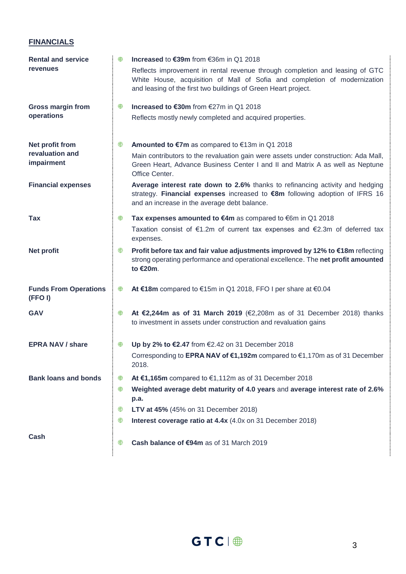# **FINANCIALS**

| <b>Rental and service</b>              | ⊕ | Increased to €39m from €36m in Q1 2018                                                                                                                                                                                      |
|----------------------------------------|---|-----------------------------------------------------------------------------------------------------------------------------------------------------------------------------------------------------------------------------|
| <b>revenues</b>                        |   | Reflects improvement in rental revenue through completion and leasing of GTC<br>White House, acquisition of Mall of Sofia and completion of modernization<br>and leasing of the first two buildings of Green Heart project. |
| <b>Gross margin from</b>               | ⊕ | Increased to €30m from €27m in Q1 2018                                                                                                                                                                                      |
| operations                             |   | Reflects mostly newly completed and acquired properties.                                                                                                                                                                    |
| Net profit from                        | ⊕ | <b>Amounted to €7m</b> as compared to $€13m$ in Q1 2018                                                                                                                                                                     |
| revaluation and<br>impairment          |   | Main contributors to the revaluation gain were assets under construction: Ada Mall,<br>Green Heart, Advance Business Center I and II and Matrix A as well as Neptune<br>Office Center.                                      |
| <b>Financial expenses</b>              |   | Average interest rate down to 2.6% thanks to refinancing activity and hedging<br>strategy. Financial expenses increased to €8m following adoption of IFRS 16<br>and an increase in the average debt balance.                |
| Tax                                    | ⊕ | Tax expenses amounted to €4m as compared to €6m in Q1 2018                                                                                                                                                                  |
|                                        |   | Taxation consist of $\epsilon$ 1.2m of current tax expenses and $\epsilon$ 2.3m of deferred tax<br>expenses.                                                                                                                |
| <b>Net profit</b>                      | ⊕ | Profit before tax and fair value adjustments improved by 12% to €18m reflecting<br>strong operating performance and operational excellence. The net profit amounted<br>to €20m.                                             |
| <b>Funds From Operations</b><br>(FFOI) | ₩ | At €18m compared to €15m in Q1 2018, FFO I per share at €0.04                                                                                                                                                               |
| <b>GAV</b>                             | ⊕ | At €2,244m as of 31 March 2019 (€2,208m as of 31 December 2018) thanks<br>to investment in assets under construction and revaluation gains                                                                                  |
| <b>EPRA NAV / share</b>                | ₩ | Up by 2% to €2.47 from €2.42 on 31 December 2018                                                                                                                                                                            |
|                                        |   | Corresponding to EPRA NAV of €1,192m compared to €1,170m as of 31 December<br>2018.                                                                                                                                         |
| <b>Bank loans and bonds</b>            | ⊕ | At €1,165m compared to $€1,112m$ as of 31 December 2018                                                                                                                                                                     |
|                                        | ⊕ | Weighted average debt maturity of 4.0 years and average interest rate of 2.6%<br>p.a.                                                                                                                                       |
|                                        | ₩ | LTV at 45% (45% on 31 December 2018)                                                                                                                                                                                        |
|                                        | ₩ | Interest coverage ratio at 4.4x (4.0x on 31 December 2018)                                                                                                                                                                  |
| Cash                                   | ⊕ | Cash balance of €94m as of 31 March 2019                                                                                                                                                                                    |

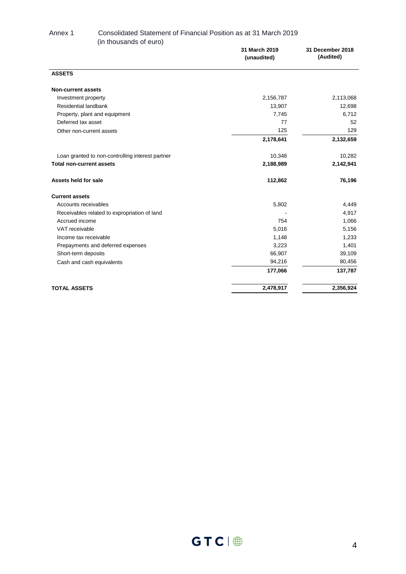#### Annex 1 Consolidated Statement of Financial Position as at 31 March 2019 (in thousands of euro)

| 31 March 2019<br>(unaudited) | 31 December 2018<br>(Audited) |
|------------------------------|-------------------------------|
|                              |                               |
|                              |                               |
| 2,156,787                    | 2,113,068                     |
| 13,907                       | 12,698                        |
| 7,745                        | 6,712                         |
| 77                           | 52                            |
| 125                          | 129                           |
| 2,178,641                    | 2,132,659                     |
| 10,348                       | 10,282                        |
| 2,188,989                    | 2,142,941                     |
| 112,862                      | 76,196                        |
|                              |                               |
| 5,802                        | 4,449                         |
|                              | 4,917                         |
| 754                          | 1,066                         |
| 5,016                        | 5,156                         |
| 1,148                        | 1,233                         |
| 3,223                        | 1,401                         |
| 66,907                       | 39,109                        |
| 94,216                       | 80,456                        |
| 177,066                      | 137,787                       |
| 2,478,917                    | 2,356,924                     |
|                              |                               |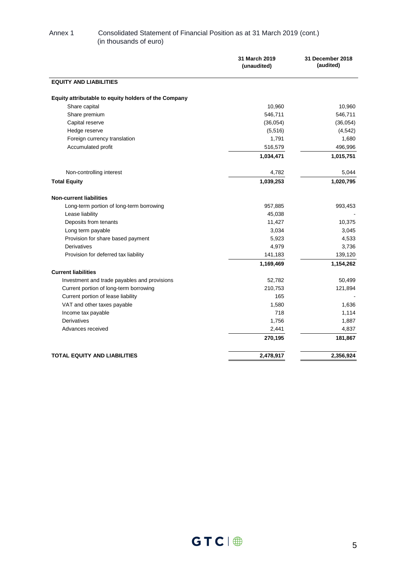#### Annex 1 Consolidated Statement of Financial Position as at 31 March 2019 (cont.) (in thousands of euro)

|                                                      | 31 March 2019<br>(unaudited) | 31 December 2018<br>(audited) |
|------------------------------------------------------|------------------------------|-------------------------------|
| <b>EQUITY AND LIABILITIES</b>                        |                              |                               |
| Equity attributable to equity holders of the Company |                              |                               |
| Share capital                                        | 10,960                       | 10,960                        |
| Share premium                                        | 546,711                      | 546,711                       |
| Capital reserve                                      | (36,054)                     | (36,054)                      |
| Hedge reserve                                        | (5,516)                      | (4, 542)                      |
| Foreign currency translation                         | 1,791                        | 1,680                         |
| Accumulated profit                                   | 516,579                      | 496,996                       |
|                                                      | 1,034,471                    | 1,015,751                     |
| Non-controlling interest                             | 4,782                        | 5,044                         |
| <b>Total Equity</b>                                  | 1,039,253                    | 1,020,795                     |
| <b>Non-current liabilities</b>                       |                              |                               |
| Long-term portion of long-term borrowing             | 957,885                      | 993,453                       |
| Lease liability                                      | 45,038                       |                               |
| Deposits from tenants                                | 11,427                       | 10,375                        |
| Long term payable                                    | 3,034                        | 3,045                         |
| Provision for share based payment                    | 5,923                        | 4,533                         |
| Derivatives                                          | 4,979                        | 3,736                         |
| Provision for deferred tax liability                 | 141,183                      | 139,120                       |
|                                                      | 1,169,469                    | 1,154,262                     |
| <b>Current liabilities</b>                           |                              |                               |
| Investment and trade payables and provisions         | 52,782                       | 50,499                        |
| Current portion of long-term borrowing               | 210,753                      | 121,894                       |
| Current portion of lease liability                   | 165                          |                               |
| VAT and other taxes payable                          | 1,580                        | 1,636                         |
| Income tax payable                                   | 718                          | 1,114                         |
| <b>Derivatives</b>                                   | 1,756                        | 1,887                         |
| Advances received                                    | 2,441                        | 4,837                         |
|                                                      | 270,195                      | 181,867                       |
| <b>TOTAL EQUITY AND LIABILITIES</b>                  | 2,478,917                    | 2,356,924                     |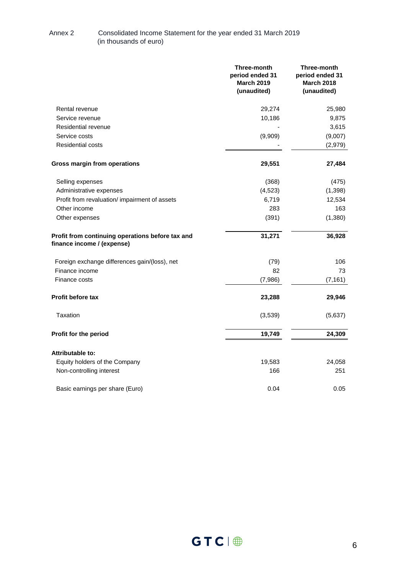#### Annex 2 Consolidated Income Statement for the year ended 31 March 2019 (in thousands of euro)

|                                                                                | Three-month<br>period ended 31<br><b>March 2019</b><br>(unaudited) | Three-month<br>period ended 31<br><b>March 2018</b><br>(unaudited) |
|--------------------------------------------------------------------------------|--------------------------------------------------------------------|--------------------------------------------------------------------|
| Rental revenue                                                                 | 29,274                                                             | 25,980                                                             |
| Service revenue                                                                | 10,186                                                             | 9,875                                                              |
| Residential revenue                                                            |                                                                    | 3,615                                                              |
| Service costs                                                                  | (9,909)                                                            | (9,007)                                                            |
| <b>Residential costs</b>                                                       |                                                                    | (2,979)                                                            |
| Gross margin from operations                                                   | 29,551                                                             | 27,484                                                             |
| Selling expenses                                                               | (368)                                                              | (475)                                                              |
| Administrative expenses                                                        | (4, 523)                                                           | (1, 398)                                                           |
| Profit from revaluation/ impairment of assets                                  | 6,719                                                              | 12,534                                                             |
| Other income                                                                   | 283                                                                | 163                                                                |
| Other expenses                                                                 | (391)                                                              | (1,380)                                                            |
| Profit from continuing operations before tax and<br>finance income / (expense) | 31,271                                                             | 36,928                                                             |
| Foreign exchange differences gain/(loss), net                                  | (79)                                                               | 106                                                                |
| Finance income                                                                 | 82                                                                 | 73                                                                 |
| Finance costs                                                                  | (7,986)                                                            | (7, 161)                                                           |
| <b>Profit before tax</b>                                                       | 23,288                                                             | 29,946                                                             |
| Taxation                                                                       | (3,539)                                                            | (5,637)                                                            |
| Profit for the period                                                          | 19,749                                                             | 24,309                                                             |
| Attributable to:                                                               |                                                                    |                                                                    |
| Equity holders of the Company                                                  | 19,583                                                             | 24,058                                                             |
| Non-controlling interest                                                       | 166                                                                | 251                                                                |
| Basic earnings per share (Euro)                                                | 0.04                                                               | 0.05                                                               |

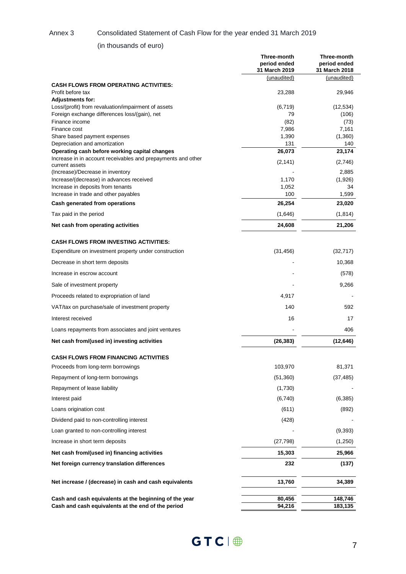#### Annex 3 Consolidated Statement of Cash Flow for the year ended 31 March 2019

## (in thousands of euro)

|                                                                                                               | Three-month<br>period ended<br>31 March 2019 | Three-month<br>period ended<br>31 March 2018 |
|---------------------------------------------------------------------------------------------------------------|----------------------------------------------|----------------------------------------------|
| <b>CASH FLOWS FROM OPERATING ACTIVITIES:</b>                                                                  | (unaudited)                                  | (unaudited)                                  |
| Profit before tax<br><b>Adjustments for:</b>                                                                  | 23,288                                       | 29,946                                       |
| Loss/(profit) from revaluation/impairment of assets                                                           | (6, 719)                                     | (12, 534)                                    |
| Foreign exchange differences loss/(gain), net                                                                 | 79                                           | (106)                                        |
| Finance income<br>Finance cost                                                                                | (82)<br>7,986                                | (73)<br>7,161                                |
| Share based payment expenses                                                                                  | 1,390                                        | (1,360)                                      |
| Depreciation and amortization                                                                                 | 131                                          | 140                                          |
| Operating cash before working capital changes<br>Increase in in account receivables and prepayments and other | 26,073<br>(2, 141)                           | 23,174<br>(2,746)                            |
| current assets<br>(Increase)/Decrease in inventory                                                            |                                              | 2,885                                        |
| Increase/(decrease) in advances received                                                                      | 1,170                                        | (1,926)                                      |
| Increase in deposits from tenants                                                                             | 1,052                                        | 34                                           |
| Increase in trade and other payables<br>Cash generated from operations                                        | 100<br>26,254                                | 1,599<br>23,020                              |
| Tax paid in the period                                                                                        | (1,646)                                      | (1, 814)                                     |
| Net cash from operating activities                                                                            | 24,608                                       | 21,206                                       |
|                                                                                                               |                                              |                                              |
| <b>CASH FLOWS FROM INVESTING ACTIVITIES:</b><br>Expenditure on investment property under construction         | (31, 456)                                    | (32, 717)                                    |
| Decrease in short term deposits                                                                               |                                              | 10,368                                       |
| Increase in escrow account                                                                                    |                                              | (578)                                        |
| Sale of investment property                                                                                   |                                              | 9,266                                        |
| Proceeds related to expropriation of land                                                                     | 4,917                                        |                                              |
| VAT/tax on purchase/sale of investment property                                                               | 140                                          | 592                                          |
| Interest received                                                                                             | 16                                           | 17                                           |
| Loans repayments from associates and joint ventures                                                           |                                              | 406                                          |
| Net cash from/(used in) investing activities                                                                  | (26, 383)                                    | (12, 646)                                    |
| CASH FLOWS FROM FINANCING ACTIVITIES                                                                          |                                              |                                              |
| Proceeds from long-term borrowings                                                                            | 103,970                                      | 81,371                                       |
| Repayment of long-term borrowings                                                                             | (51,360)                                     | (37, 485)                                    |
| Repayment of lease liability                                                                                  | (1,730)                                      |                                              |
| Interest paid                                                                                                 | (6,740)                                      | (6,385)                                      |
| Loans origination cost                                                                                        | (611)                                        | (892)                                        |
| Dividend paid to non-controlling interest                                                                     | (428)                                        |                                              |
| Loan granted to non-controlling interest                                                                      |                                              | (9, 393)                                     |
| Increase in short term deposits                                                                               | (27, 798)                                    | (1,250)                                      |
| Net cash from/(used in) financing activities                                                                  | 15,303                                       | 25,966                                       |
| Net foreign currency translation differences                                                                  | 232                                          | (137)                                        |
| Net increase / (decrease) in cash and cash equivalents                                                        | 13,760                                       | 34,389                                       |
| Cash and cash equivalents at the beginning of the year                                                        | 80,456                                       | 148,746                                      |
| Cash and cash equivalents at the end of the period                                                            | 94,216                                       | 183,135                                      |

 $GTC \parallel \bigoplus$  7